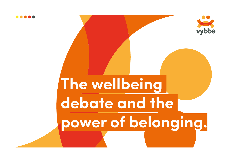

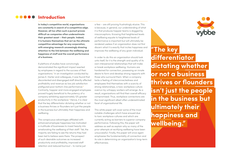### **OOOOO** Introduction

**In today's competitive world, organizations are constantly in search of a competitive edge. However, all too often such a pursuit proves difcult as companies often underestimate their greatest asset – their people. Indeed, it is humans themselves that act as the ultimate competitive advantage for any corporation, with emerging research unceasingly drawing attention to the link between the wellbeing and happiness of staf and the overall performance of a business.** 

A plethora of studies have convincingly demonstrated the significant impact exerted by employees in regard to the success of their organizations.**[1](#page-7-0)** In an investigation conducted by James K. Harter and colleagues, it was found that discontented and disengaged staff directly affected profitability and revenue as low job satisfaction prefigured poor bottom-line performance.**[2](#page-7-1)** Contrarily, happier and more engaged employees proved hugely beneficial to the potency of a company exhibiting approximately 12% greater productivity in the workplace.**[3](#page-7-2)** Hence, it is clear that the key diferentiator dictating whether or not a business thrives or flounders isn't just the people in the business but ultimately their happiness and wellbeing.

The conspicuous advantages affiliated with enhanced employee happiness has motivated a multitude of businesses to invest heavily into ameliorating the wellbeing of their staf. **[4](#page-7-3)** Yet, the majority are failing to see the returns they had been led to believe were there. The prospect of such desirable outcomes as increased productivity and profitability, improved staf retention and reduced burnout – to name just

a few – are still proving frustratingly elusive. This is because, in general, our understanding of what it is that produces happier teams is dogged by misconceptions. Knowing that heightened levels of wellbeing equate to heightened levels of performance is important but will ultimately be rendered useless if an organization does not first discern what it is exactly that incites happiness and improves the wellbeing of any given individual.

In order to do this an organization should look unto itself, for it is the strength and quality of its own interpersonal relationships that will make or break workplace wellbeing. Humans are hardwired for connection, possessing an innate desire to form and develop strong rapports with those who surround them. When a company lacks a feeling of interconnectedness and employees find themselves with a scarcity of strong relationships, a toxic workplace culture overrun by unhappy workers will emerge. As a result, organizations will find their overall efficacy compromised. Thus, workplace connections are the most significant albeit often underestimated facet of organizational life.

This white paper will cover some of the most notable challenges which have ensued due to toxic workplace cultures and which are currently acting as barriers to superior company performance. Following this, the paper will address as well as explain why so many of the prior attempts at rectifying wellbeing have been unsuccessful. Finally, this paper will once again emphasise the fundamentality of connection and its role in determining an organization's long-term effectiveness

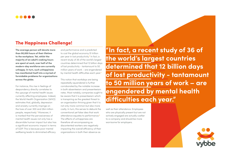## The Happiness Challenge!

**The average person will devote more than 90,000 hours of their lifetime to the workplace. Yet, whilst the majority of an adult's waking hours are spent at work, over half of the modern-day workforce are currently unhappy. In turn, such unhappiness has manifested itself into a myriad of formidable problems for organizations across the globe.** 

For instance, this rise in feelings of despondency directly correlates to the upsurge of mental health issues currently afecting employees. Indeed, the World Health Organization (WHO) estimates that, globally, depression and anxiety currently impinge on the lives of over 300 and 264 million people, respectively.**[5](#page-7-4)** Moreover, it is marked that the pervasiveness of mental health issues not only has a discernible human impact but also has a significant economic impact in terms of GDP. This is because poor mental wellbeing leads to diminished efficacy

and performance and is predicted to cost the global economy \$1 trillion per year in lost productivity.**[6](#page-7-5)** In fact, a recent study of 36 of the world's largest countries determined that 12 billion days of lost productivity - tantamount to 50 million years of work – are engendered by mental health difficulties each year.<sup>[7](#page-7-6)</sup>

This notion that workdays are being repeatedly squandered is further corroborated by the notable increase in both absenteeism and presenteeism rates. Most notably, companies ought to be aware that it is presenteeism which is transpiring as the greatest threat to an organization thriving given that it is not only more common but also more costly. In turn, this serves to debunk the conventional yet false idea that work attendance equates to performance.**[8](#page-7-7)** The effects of unhappiness are therefore all-encompassing as discontented workers are negatively impacting the overall efficiency of their organizations in both their absence as

**"In fact, a recent study of 36 of the world's largest countries determined that 12 billion days of lost productivity - tantamount to 50 million years of work – are engendered by mental health difculties each year."**

well as their attendance. Employees who are physically present but are not actively engaged are actually costlier to a company and should be more worrisome for employers.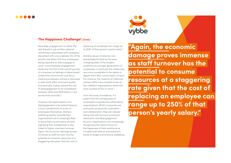



Assuredly, engagement or rather the lack thereof is yet another adverse ramification associated with workplace discontent with only a slender 15% of the world's one billion full-time employees being reported as fully engaged at work.**[9](#page-7-8)** Low employee engagement levels are harmful to the overall success of a business as feelings of detachment undermine commitment and focus meaning employers witness a decrease in both work effort and work quality. Economically, Gallup valued the cost of disengagement to be somewhere between \$450 and \$550 billion in lost productivity annually.**[10](#page-7-9)**

However, the repercussions of a disengagement crisis extend beyond a loss in productivity to a loss of employees themselves. Workers exhibiting apathy towards their organizations are increasingly likely to leave their current place of work signifying that unhappiness is also linked to higher voluntary turnover. Again, the economic damage proves immense as staff turnover has the potential to consume resources at a staggering rate given that the cost of replacing an employee can range up to 250% of that person's yearly salary.**[11](#page-7-10)**

Notably, issues of retention are exacerbated further by the everchanging state of the modern workforce as younger generations of employees, in particular the millennials, are more susceptible to the desire to depart from their current place of work. For instance, the majority of millennial workers (60%) have worked at two to four diferent organizations whilst 24% have worked at five or more.**[12](#page-7-11)**

From this body of evidence, it is patent that the unhappiness of employees is significantly attenuating organizations. Whilst companies are aiming for productivity, motivation and collaboration, they are instead being met with burnout, emotional exhaustion and disengagement. As such, organizations are increasingly recognising the need to focus on the happiness of their workforce as it makes both ethical and economic sense to target and enhance wellbeing.



**"Again, the economic damage proves immense as staf turnover has the potential to consume resources at a staggering rate given that the cost of replacing an employee can range up to 250% of that person's yearly salary."**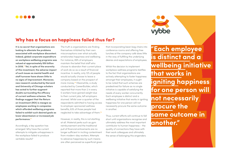



### Why has a focus on happiness failed thus far?

**It is no secret that organizations are looking to alleviate the problems associated with workplace discontent. Indeed, global corporate expenditure on workplace wellbeing programs was valued at approximately \$50 billion in 2018[.13](#page-7-12) Yet, in spite of the enormity of this investment, the adverse impact of such issues as mental health and staf turnover have shown little to no signs of improvement. Moreover, new research conducted by Harvard and University of Chicago scholars has acted to further augment doubts surrounding the efcacy of current wellness schemes. The findings suggest that the Return on Investment (ROI) is meagre as employees working in companies which aforded wellbeing programs failed to exhibit such desired goals as lower absenteeism or increased job performance[.14](#page-7-13)**

Accordingly, a key question has emerged: Why have the current attempts to mitigate unhappiness in the workplace failed to produce veritable results?

The truth is organizations are finding themselves inhibited by their own misconceptions over what actually ameliorates happiness and wellbeing. For instance, 89% of employers maintain the belief that staff who choose to abandon their current place of work do so as a result of financial incentive. In reality, only 12% of people would actually choose to leave a company based on the prospect of more money.**[15](#page-7-14)** Meanwhile, a study conducted by CareerBuilder, which reported that more than 2 in every 5 workers have gained weight due to their current jobs, left employers stunned. Whilst over a quarter of the respondents admitted to having access to employer-sponsored wellness benefits, 63% of those people had neglected to take advantage of them.**[16](#page-7-15)**

However, in reality, this is not startling at all. Material perks such as gym reimbursement and the traditional pull of financial enticements are no longer sufficient in inciting contentment from modern-day workers. Attempts to advance happiness by such means are often perceived as superficial given that incorporating bean bag chairs into conference rooms and offering free lunches at the company café does little in the way of fulfilling the underlying desires and expectations of employees.

Whilst the decision to implement workplace wellness programs testifies to the fact that organizations are actively attempting to foster happiness amongst their employees, it ought to be noted that such schemes are predestined for failure as no single initiative is capable of satisfying the needs of every worker concurrently. Each employee is distinct and a wellbeing initiative that works in igniting happiness for one person will not necessarily procure the same outcome in another.

Thus, current efforts will continue to fall short until organizations recognise and ultimately address the most important contributor to human happiness – the quality of connections they have with their work colleagues and ultimately the sense of belonging this engenders.

**"Each employee is distinct and a wellbeing initiative that works in igniting happiness for one person will not necessarily procure the same outcome in another."**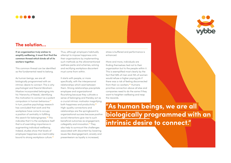



**If an organization truly wishes to amplify wellbeing, it must first find the common thread which binds all of its workers together.** 

This common thread can be identified as the fundamental need to belong.

As human beings, we are all biologically programmed with an intrinsic desire to connect. This is why psychologist and theorist Abraham Maslow incorporated belonging into his 'Hierarchy of Needs', identifying this motivation to connect as a potent compulsion in human behaviour.**[17](#page-7-16)** In turn, positive psychology research has concluded that work and the workplace have come to occupy a position of centrality in fulfilling this search for belongingness.**[18](#page-7-17)** This indicates that it is the workplace itself that is of overriding importance in augmenting individual wellbeing. Indeed, studies show that levels of employee happiness are inextricably bound to strong workplace culture.**[19](#page-7-18)**

Thus, although employers habitually attempt to impose happiness onto their organizations by implementing such methods as the aforementioned wellness perks and schemes, solving and rectifying workplace discontent must come from within.

It starts with people, or more specifically, with the interpersonal relationships which exist between them. Strong relationships precipitate employee and organizational flourishing because they cultivate a sense of belonging and thereby act as a crucial intrinsic motivator magnifying both happiness and productivity.**[20](#page-7-19)** High-quality connections and relationships are the springboard to organizational success because positive social interactions give rise to such beneficial outcomes as engagement, collegiality and innovation.**[21](#page-7-20)** They also help to surmount the challenges associated with discontent by lowering issues like disengagement, anxiety and presenteeism as loyalty is increased,

stress is buffered and performance is enhanced.

More and more, individuals are finding themselves tied not to their organization but to the people within it. This is exemplified most clearly by the fact that 58% of men and 74% of women would refuse a higher paying job if there was a risk of feeling disconnected from their co-workers.**[22](#page-7-21)** Humans prioritise connection above all else and companies need to do the same if they want to heighten wellbeing and reap the rewards.

**"As human beings, we are all biologically programmed with an intrinsic desire to connect."**

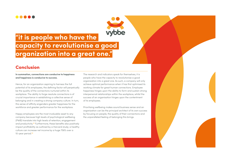### -----

# **"it is people who have the capacity to revolutionise a good organization into a great one."**

### Conclusion

**In summation, connections are conducive to happiness and happiness is conducive to success.** 

Hence, for an organization aspiring to harness the full potential of its employees, the defining factor will perpetually be the quality of the connections nurtured within its workplace. The ability to forge resolute connections is of crucial importance in establishing a collective sense of belonging and in creating a strong company culture. In turn, this sense of affinity engenders greater happiness for the workforce and greater performance for the workplace.

Happy employees are the most invaluable asset to any company because high levels of psychological wellbeing (PWB) translate into high levels of retention, engagement and productivity.**[23](#page-7-22)** Furthermore, these benefits also positively impact profitability as outlined by a Harvard study; a healthy culture can increase net income by a huge 756% over a 10-year period.**[24](#page-7-23)**

The research and indicators speak for themselves; it is people who have the capacity to revolutionise a good organization into a great one. As such, a company will only achieve optimal performance when it has first optimised its working climate for great human connections. Employee happiness hinges upon the ability to form and sustain strong interpersonal relationships within the workplace, whilst the success of an organisation hinges upon the contentment of its employees.

Prioritising wellbeing makes sound business sense and an organization can be the principal architect of its own success by focusing on people, the quality of their connections and the unparalleled feeling of belonging this brings.